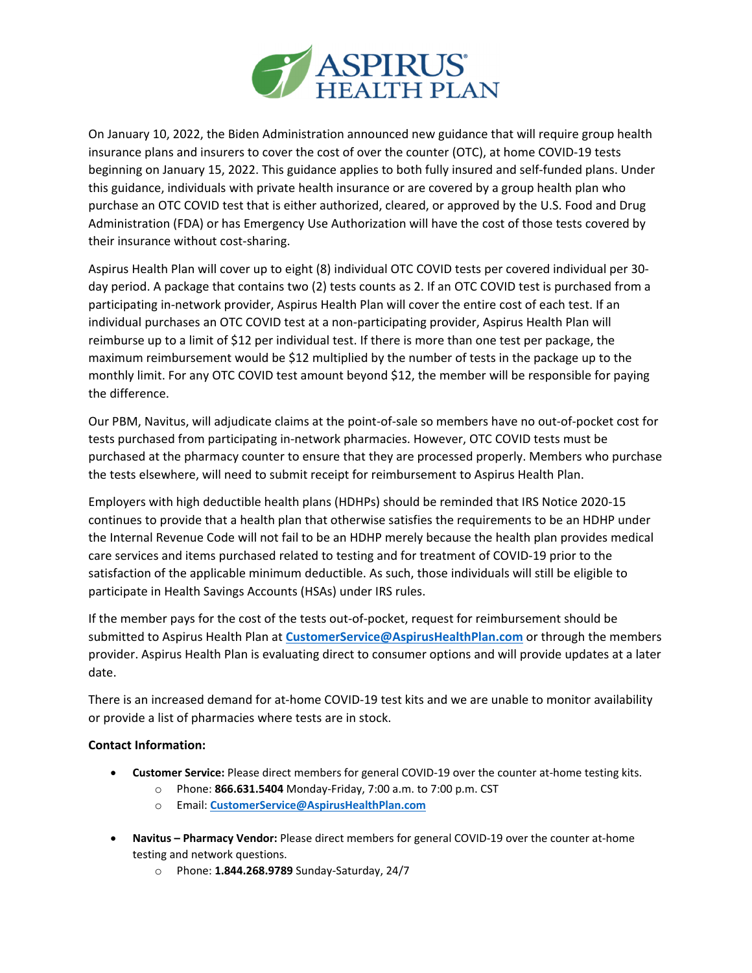

On January 10, 2022, the Biden Administration announced new guidance that will require group health insurance plans and insurers to cover the cost of over the counter (OTC), at home COVID‐19 tests beginning on January 15, 2022. This guidance applies to both fully insured and self-funded plans. Under this guidance, individuals with private health insurance or are covered by a group health plan who purchase an OTC COVID test that is either authorized, cleared, or approved by the U.S. Food and Drug Administration (FDA) or has Emergency Use Authorization will have the cost of those tests covered by their insurance without cost‐sharing.

Aspirus Health Plan will cover up to eight (8) individual OTC COVID tests per covered individual per 30‐ day period. A package that contains two (2) tests counts as 2. If an OTC COVID test is purchased from a participating in-network provider, Aspirus Health Plan will cover the entire cost of each test. If an individual purchases an OTC COVID test at a non‐participating provider, Aspirus Health Plan will reimburse up to a limit of \$12 per individual test. If there is more than one test per package, the maximum reimbursement would be \$12 multiplied by the number of tests in the package up to the monthly limit. For any OTC COVID test amount beyond \$12, the member will be responsible for paying the difference.

Our PBM, Navitus, will adjudicate claims at the point‐of‐sale so members have no out‐of‐pocket cost for tests purchased from participating in‐network pharmacies. However, OTC COVID tests must be purchased at the pharmacy counter to ensure that they are processed properly. Members who purchase the tests elsewhere, will need to submit receipt for reimbursement to Aspirus Health Plan.

Employers with high deductible health plans (HDHPs) should be reminded that IRS Notice 2020‐15 continues to provide that a health plan that otherwise satisfies the requirements to be an HDHP under the Internal Revenue Code will not fail to be an HDHP merely because the health plan provides medical care services and items purchased related to testing and for treatment of COVID‐19 prior to the satisfaction of the applicable minimum deductible. As such, those individuals will still be eligible to participate in Health Savings Accounts (HSAs) under IRS rules.

If the member pays for the cost of the tests out‐of‐pocket, request for reimbursement should be submitted to Aspirus Health Plan at **CustomerService@AspirusHealthPlan.com** or through the members provider. Aspirus Health Plan is evaluating direct to consumer options and will provide updates at a later date.

There is an increased demand for at-home COVID-19 test kits and we are unable to monitor availability or provide a list of pharmacies where tests are in stock.

## **Contact Information:**

- **Customer Service:** Please direct members for general COVID‐19 over the counter at‐home testing kits.
	- o Phone: **866.631.5404** Monday‐Friday, 7:00 a.m. to 7:00 p.m. CST
	- o Email: **CustomerService@AspirusHealthPlan.com**
- **Navitus – Pharmacy Vendor:** Please direct members for general COVID‐19 over the counter at‐home testing and network questions.
	- o Phone: **1.844.268.9789** Sunday‐Saturday, 24/7